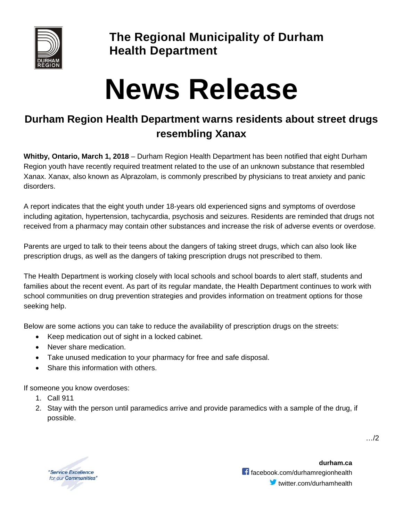

**The Regional Municipality of Durham Health Department**

## **News Release**

## **Durham Region Health Department warns residents about street drugs resembling Xanax**

**Whitby, Ontario, March 1, 2018** – Durham Region Health Department has been notified that eight Durham Region youth have recently required treatment related to the use of an unknown substance that resembled Xanax. Xanax, also known as Alprazolam, is commonly prescribed by physicians to treat anxiety and panic disorders.

A report indicates that the eight youth under 18-years old experienced signs and symptoms of overdose including agitation, hypertension, tachycardia, psychosis and seizures. Residents are reminded that drugs not received from a pharmacy may contain other substances and increase the risk of adverse events or overdose.

Parents are urged to talk to their teens about the dangers of taking street drugs, which can also look like prescription drugs, as well as the dangers of taking prescription drugs not prescribed to them.

The Health Department is working closely with local schools and school boards to alert staff, students and families about the recent event. As part of its regular mandate, the Health Department continues to work with school communities on drug prevention strategies and provides information on treatment options for those seeking help.

Below are some actions you can take to reduce the availability of prescription drugs on the streets:

- Keep medication out of sight in a locked cabinet.
- Never share medication.
- Take unused medication to your pharmacy for free and safe disposal.
- Share this information with others.

If someone you know overdoses:

- 1. Call 911
- 2. Stay with the person until paramedics arrive and provide paramedics with a sample of the drug, if possible.

"Service Excellence for our **Communities**"

**durham.ca** facebook.com/durhamregionhealth  $\blacktriangleright$  twitter.com/durhamhealth …/2